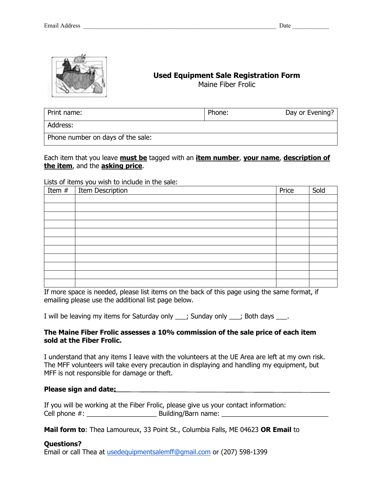

# **Used Equipment Sale Registration Form**

Maine Fiber Frolic

| Print name:                       | Phone: | Day or Evening? |
|-----------------------------------|--------|-----------------|
| Address:                          |        |                 |
| Phone number on days of the sale: |        |                 |

Each item that you leave **must be** tagged with an **item number**, **your name**, **description of the item**, and the **asking price**.

Lists of items you wish to include in the sale:

| Item $#$ | <b>Item Description</b> | Price | Sold |
|----------|-------------------------|-------|------|
|          |                         |       |      |
|          |                         |       |      |
|          |                         |       |      |
|          |                         |       |      |
|          |                         |       |      |
|          |                         |       |      |
|          |                         |       |      |
|          |                         |       |      |
|          |                         |       |      |
|          |                         |       |      |
|          |                         |       |      |

If more space is needed, please list items on the back of this page using the same format, if emailing please use the additional list page below.

I will be leaving my items for Saturday only \_\_\_; Sunday only \_\_\_; Both days \_\_\_.

#### **The Maine Fiber Frolic assesses a 10% commission of the sale price of each item sold at the Fiber Frolic.**

I understand that any items I leave with the volunteers at the UE Area are left at my own risk. The MFF volunteers will take every precaution in displaying and handling my equipment, but MFF is not responsible for damage or theft.

#### **Please sign and date:**

|                  | If you will be working at the Fiber Frolic, please give us your contact information: |
|------------------|--------------------------------------------------------------------------------------|
| Cell phone $#$ : | Building/Barn name:                                                                  |

**Mail form to**: Thea Lamoureux, 33 Point St., Columbia Falls, ME 04623 **OR Email** to

#### **Questions?**

Email or call Thea at usedequipmentsalemff@gmail.com or (207) 598-1399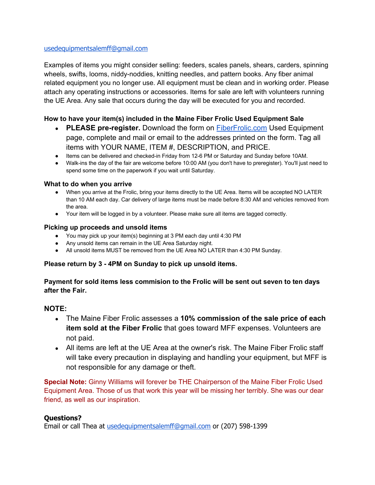### usedequipmentsalemff@gmail.com

Examples of items you might consider selling: feeders, scales panels, shears, carders, spinning wheels, swifts, looms, niddy-noddies, knitting needles, and pattern books. Any fiber animal related equipment you no longer use. All equipment must be clean and in working order. Please attach any operating instructions or accessories. Items for sale are left with volunteers running the UE Area. Any sale that occurs during the day will be executed for you and recorded.

## **How to have your item(s) included in the Maine Fiber Frolic Used Equipment Sale**

- **PLEASE pre-register.** Download the form on **FiberFrolic.com** Used Equipment page, complete and mail or email to the addresses printed on the form. Tag all items with YOUR NAME, ITEM #, DESCRIPTION, and PRICE.
- Items can be delivered and checked-in Friday from 12-6 PM or Saturday and Sunday before 10AM.
- Walk-ins the day of the fair are welcome before 10:00 AM (you don't have to preregister). You'll just need to spend some time on the paperwork if you wait until Saturday.

#### **What to do when you arrive**

- When you arrive at the Frolic, bring your items directly to the UE Area. Items will be accepted NO LATER than 10 AM each day. Car delivery of large items must be made before 8:30 AM and vehicles removed from the area.
- Your item will be logged in by a volunteer. Please make sure all items are tagged correctly.

#### **Picking up proceeds and unsold items**

- You may pick up your item(s) beginning at 3 PM each day until 4:30 PM
- Any unsold items can remain in the UE Area Saturday night.
- All unsold items MUST be removed from the UE Area NO LATER than 4:30 PM Sunday.

#### **Please return by 3 - 4PM on Sunday to pick up unsold items.**

**Payment for sold items less commision to the Frolic will be sent out seven to ten days after the Fair.** 

#### **NOTE:**

- The Maine Fiber Frolic assesses a **10% commission of the sale price of each item sold at the Fiber Frolic** that goes toward MFF expenses. Volunteers are not paid.
- All items are left at the UE Area at the owner's risk. The Maine Fiber Frolic staff will take every precaution in displaying and handling your equipment, but MFF is not responsible for any damage or theft.

**Special Note:** Ginny Williams will forever be THE Chairperson of the Maine Fiber Frolic Used Equipment Area. Those of us that work this year will be missing her terribly. She was our dear friend, as well as our inspiration.

#### **Questions?**

Email or call Thea at usedequipmentsalemff@gmail.com or (207) 598-1399